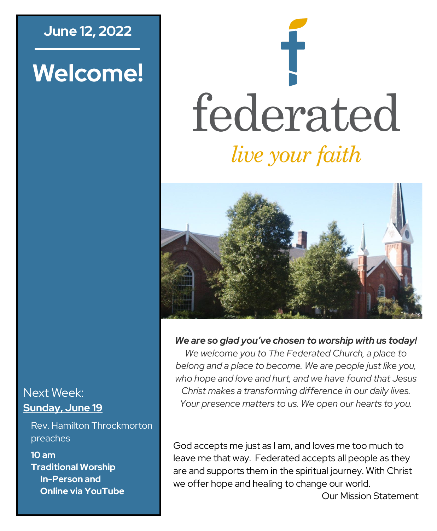### **June 12, 2022**

# **Welcome!**

# federated *live your faith*



#### *We are so glad you've chosen to worship with us today!*

*We welcome you to The Federated Church, a place to belong and a place to become. We are people just like you, who hope and love and hurt, and we have found that Jesus Christ makes a transforming difference in our daily lives. Your presence matters to us. We open our hearts to you.*

God accepts me just as I am, and loves me too much to leave me that way. Federated accepts all people as they are and supports them in the spiritual journey. With Christ we offer hope and healing to change our world.

Next Week: **Sunday, June 19**

Rev. Hamilton Throckmorton preaches

**10 am Traditional Worship In-Person and Online via YouTube**

Our Mission Statement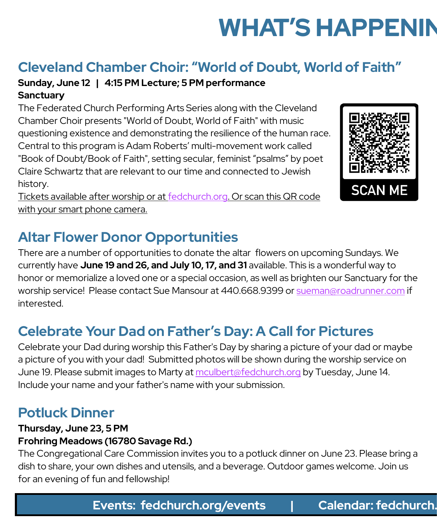# **WHAT'S HAPPENIN**

# **Cleveland Chamber Choir: "World of Doubt, World of Faith"**

#### **Sunday, June 12 | 4:15 PM Lecture; 5 PM performance Sanctuary**

The Federated Church Performing Arts Series along with the Cleveland Chamber Choir presents "World of Doubt, World of Faith" with music questioning existence and demonstrating the resilience of the human race. Central to this program is Adam Roberts' multi-movement work called "Book of Doubt/Book of Faith", setting secular, feminist "psalms" by poet Claire Schwartz that are relevant to our time and connected to Jewish history.

Tickets available after worship or at [fedchurch.org.](https://www.fedchurch.org) Or scan this QR code with your smart phone camera.

# **Altar Flower Donor Opportunities**

There are a number of opportunities to donate the altar flowers on upcoming Sundays. We currently have **June 19 and 26, and July 10, 17, and 31** available. This is a wonderful way to honor or memorialize a loved one or a special occasion, as well as brighten our Sanctuary for the worship service! Please contact Sue Mansour at 440.668.9399 or [sueman@roadrunner.com](mailto:sueman@roadrunner.com) if interested.

# **Celebrate Your Dad on Father's Day: A Call for Pictures**

Celebrate your Dad during worship this Father's Day by sharing a picture of your dad or maybe a picture of you with your dad! Submitted photos will be shown during the worship service on June 19. Please submit images to Marty at [mculbert@fedchurch.org](mailto:mculbert@fedchurch.org) by Tuesday, June 14. Include your name and your father's name with your submission.

# **Potluck Dinner**

#### **Thursday, June 23, 5 PM**

#### **Frohring Meadows (16780 Savage Rd.)**

The Congregational Care Commission invites you to a potluck dinner on June 23. Please bring a dish to share, your own dishes and utensils, and a beverage. Outdoor games welcome. Join us for an evening of fun and fellowship!

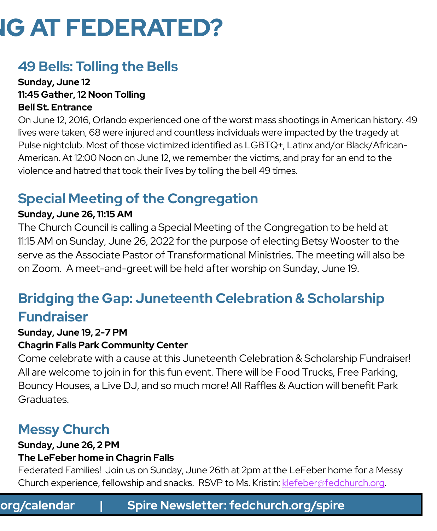# **IG AT FEDERATED?**

# **49 Bells: Tolling the Bells**

#### **Sunday, June 12 11:45 Gather, 12 Noon Tolling Bell St. Entrance**

On June 12, 2016, Orlando experienced one of the worst mass shootings in American history. 49 lives were taken, 68 were injured and countless individuals were impacted by the tragedy at Pulse nightclub. Most of those victimized identified as LGBTQ+, Latinx and/or Black/African-American. At 12:00 Noon on June 12, we remember the victims, and pray for an end to the violence and hatred that took their lives by tolling the bell 49 times.

# **Special Meeting of the Congregation**

#### **Sunday, June 26, 11:15 AM**

The Church Council is calling a Special Meeting of the Congregation to be held at 11:15 AM on Sunday, June 26, 2022 for the purpose of electing Betsy Wooster to the serve as the Associate Pastor of Transformational Ministries. The meeting will also be on Zoom. A meet-and-greet will be held after worship on Sunday, June 19.

# **Bridging the Gap: Juneteenth Celebration & Scholarship Fundraiser**

#### **Sunday, June 19, 2-7 PM**

#### **Chagrin Falls Park Community Center**

Come celebrate with a cause at this Juneteenth Celebration & Scholarship Fundraiser! All are welcome to join in for this fun event. There will be Food Trucks, Free Parking, Bouncy Houses, a Live DJ, and so much more! All Raffles & Auction will benefit Park Graduates.

# **Messy Church**

#### **Sunday, June 26, 2 PM The LeFeber home in Chagrin Falls**

Federated Families! Join us on Sunday, June 26th at 2pm at the LeFeber home for a Messy Church experience, fellowship and snacks. RSVP to Ms. Kristin: [klefeber@fedchurch.org.](mailto:klefeber@fedchurch.org)

**Events: fedchurch.org/events | Calendar: fedchurch.org/calendar | Spire Newsletter: fedchurch.org/spire Events: fedchurch.org/events | Calendar: fedchurch.org/calendar | Spire Newsletter: fedchurch.org/spire**